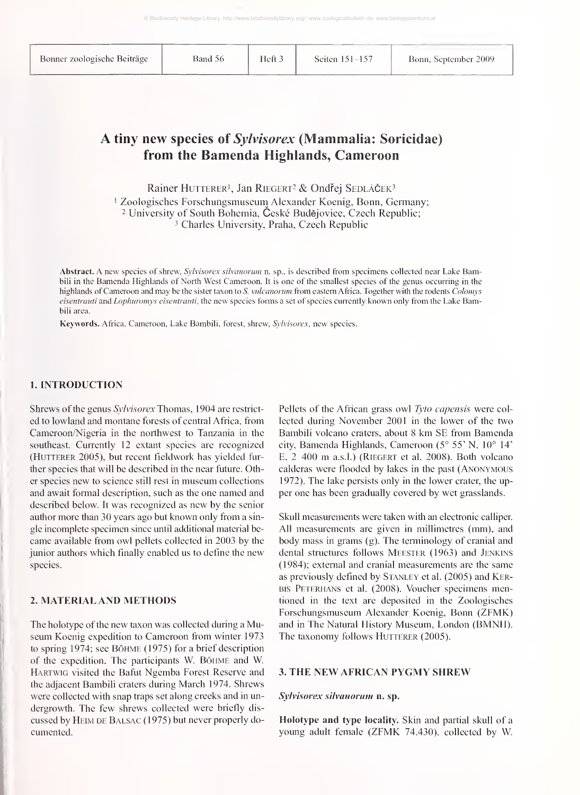Band 56 Heft 3 Seiten 151-157 Bonn, September 2009

## A tiny new species of Sylvisorex (Mammalia: Soricidae) from the Bamenda Highlands, Cameroon

Rainer HUTTERER<sup>1</sup>, Jan RIEGERT<sup>2</sup> & Ondřej SEDLÁČEK<sup>3</sup>

<sup>'</sup> Zoologisches Forschungsmuseum Alexander Koenig, Bonn, Germany; <sup>2</sup> University of South Bohemia, České Budějovice, Czech Republic; Charles University, Praha, Czech Republic

Abstract. A new species of shrew, Sylvisorex silvanorum n. sp., is described from specimens collected near Lake Bambili in the Bamenda Highlands of North West Cameroon. It is one of the smallest species of the genus occurring in the highlands of Cameroon and may be the sister taxon to S. vulcanorum from eastern Africa. Together with the rodents Colomys eisentrauti and Lophuromys eisentrauti, the new species forms a set of species currently known only from the Lake Bambili area.

Keywords. Africa, Cameroon, Lake Bambili, forest, shrew, Sylvisorex, new species.

#### 1. INTRODUCTION

Shrews of the genus Sylvisorex Thomas, 1904 are restrict ed to lowland and montane forests of central Africa, from Cameroon/Nigeria in the northwest to Tanzania in the southeast. Currently 12 extant species are recognized (HUTTERER 2005), but recent fieldwork has yielded further species that will be described in the near future. Other species new to science still rest in museum collections and await formal description, such as the one named and described below. It was recognized as new by the senior author more than 30 years ago but known only from <sup>a</sup> sin gle incomplete specimen since until additional material be came available from owl pellets collected in 2003 by the junior authors which finally enabled us to define the new species.

### 2. MATERIAL AND METHODS

The holotype of the new taxon was collected during <sup>a</sup> Museum Koenig expedition to Cameroon from winter 1973 to spring 1974; see Böhme ( 1975) for <sup>a</sup> brief description of the expedition. The participants W. Böhme and W. Hartwig visited the Bafut Ngemba Forest Reserve and the adjacent Bambili craters during March 1974. Shrews were collected with snap traps set along creeks and in un dergrowth. The few shrews collected were briefly dis cussed by HEIM DE BALSAC (1975) but never properly documented.

Pellets of the African grass owl Tyto capensis were col lected during November 2001 in the lower of the two Bambili volcano craters, about 8 km SE from Bamenda city, Bamenda Highlands, Cameroon (5° 55' N, 10° 14' E, <sup>2</sup> <sup>400</sup> m a.s.l.) (Riegert et al. 2008). Both volcano calderas were flooded by lakes in the past (Anonymous 1972). The lake persists only in the lower crater, the up per one has been gradually covered by wet grasslands.

Skull measurements were taken with an electronic calliper All measurements are given in millimetres (mm), and body mass in grams (g). The terminology of cranial and dental structures follows Meester (1963) and Jenkins (1984); external and cranial measurements are the same as previously defined by STANLEY et al. (2005) and KER-BIS PETERHANS et al. (2008). Voucher specimens mentioned in the text are deposited in the Zoologisches Forschungsmuseum Alexander Koenig, Bonn (ZFMK) and in The Natural History Museum, London (BMNH). The taxonomy follows HUTTERER (2005).

#### 3. THE NEW AFRICAN PYGMY SHREW

#### Sylvisorex silvanorum n. sp.

Holotype and type locality. Skin and partial skull of a young adult female (ZFMK 74.430), collected by W.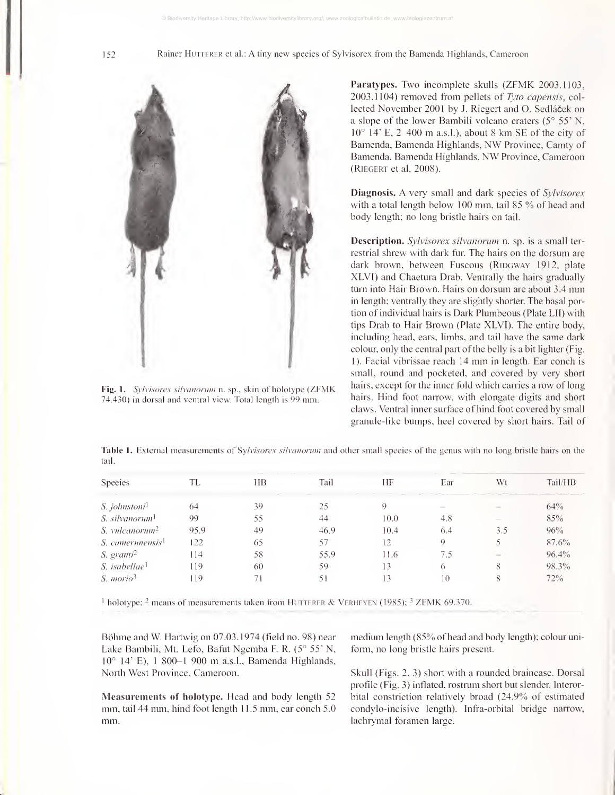

Fig. 1. Sylvisorex silvanorum n. sp., skin of holotype (ZFMK) 74.430) in dorsal and ventral view. Total length is 99 mm.

Paratypes. Two incomplete skulls (ZFMK 2003.1103, 2003.1104) removed from pellets of Tyto capensis, col lected November 2001 by J. Riegert and O. Sedláček on a slope of the lower Bambili volcano craters (5° 55' N, 10° 14' E, <sup>2</sup> <sup>400</sup> m a.s.l.). about <sup>8</sup> km SE of the city of Bamenda, Bamenda Highlands, NW Province, Camty of Bamenda. Bamenda Highlands, NW Province, Cameroon (Riegert et al. 2008).

**Diagnosis.** A very small and dark species of *Sylvisorex* with a total length below 100 mm, tail 85 % of head and body length; no long bristle hairs on tail.

Description. Sylvisorex silvanorum n. sp. is a small ter restrial shrew with dark fur. The hairs on the dorsum are dark brown, between Fuscous (RIDGWAY 1912, plate XLVl) and Chaetura Drab. Ventrally the hairs gradually turn into Hair Brown. Hairs on dorsum are about 3.4 mm in length; ventrally they are slightly shorter. The basal portion of individual hairs is Dark Plumbeous (Plate LII) with tips Drab to Hair Brown (Plate XLVI). The entire body, including head, ears, limbs, and tail have the same dark colour, only the central part of the belly is a bit lighter (Fig. 1). Facial vibrissae reach <sup>14</sup> mm in length. Ear conch is small, round and pocketed, and covered by very short hairs, except for the inner fold which carries a row of long hairs. Hind foot narrow, with elongate digits and short claws. Ventral inner surface of hind foot covered by small granule-like bumps, heel covered by short hairs. Tail of

Table 1. External measurements of Sylvisorex silvanorum and other small species of the genus with no long bristle hairs on the tail.

| <b>Species</b>                   | TL   | HВ | Tail | HF   | Ear | Wt  | Tail/HB  |
|----------------------------------|------|----|------|------|-----|-----|----------|
|                                  |      |    |      |      |     |     |          |
| <i>S. jolmstoni</i> <sup>1</sup> | 64   | 39 | 25   | Q    | $-$ |     | 64%      |
| S. silvanorum <sup>1</sup>       | 99   | 55 | 44   | 10.0 | 4.8 |     | 85%      |
| S. vulcanorum <sup>2</sup>       | 95.9 | 49 | 46.9 | 10.4 | 6.4 | 3.5 | 96%      |
| S. camerunensis <sup>1</sup>     | 122  | 65 | 57   | 12   | 9   |     | 87.6%    |
| S. granti <sup>2</sup>           | 114  | 58 | 55.9 | 11.6 | 7.5 |     | $96.4\%$ |
| S. isabellae <sup>1</sup>        | 119  | 60 | 59   | 13   | 6   | 8   | 98.3%    |
| S. <i>morio</i> <sup>3</sup>     | 119  |    | 51   |      | 10  | 8   | 72%      |
|                                  |      |    |      |      |     |     |          |

 $\text{1}$  holotype; <sup>2</sup> means of measurements taken from HUTTERER & VERHEYEN (1985); <sup>3</sup> ZFMK 69.370.

Böhme and W. Hartwig on 07.03.1974 (field no. 98) near Lake Bambili, Mt. Lefo, Bafut Ngemba F. R. (5° 55" N. 10° 14' E), <sup>1</sup>800-1 <sup>900</sup> m a.s.l., Bamenda Highlands, North West Province, Cameroon.

Measurements of holotype. Head and body length 52 mm, tail 44 mm, hind foot length 11.5 mm, ear conch 5.0 mm.

medium length (85% of head and body length); colour uni fomi, no long bristle hairs present.

Skull (Figs. 2, 3) short with a rounded braincase. Dorsal profile (Fig. 3) inflated, rostrum short but slender. Interorbital constriction relatively broad (24.9% of estimated condylo-incisive length). Infra-orbital bridge narrow, lachrymal foramen large.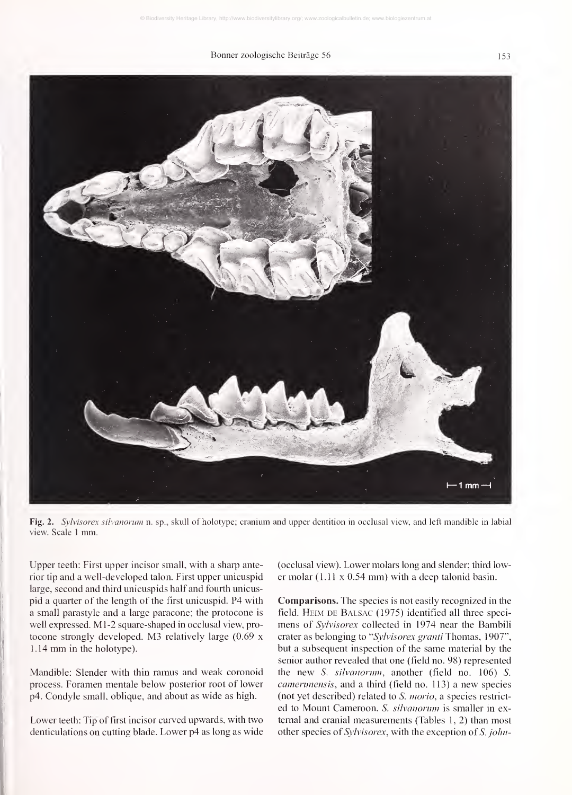#### Bonner zoologische Beiträge 56 153



Fig. 2. Sylvisorex silvanorum n. sp., skull of holotype; cranium and upper dentition in occlusal view, and left mandible in labial view. Scale 1 mm.

Upper teeth: First upper incisor small, with a sharp anterior tip and a well-developed talon. First upper unicuspid large, second and third unicuspids half and fourth unicuspid a quarter of the length of the first unicuspid. P4 with a small parastyle and a large paracone; the protocone is well expressed. M1-2 square-shaped in occlusal view, protocone strongly developed. M3 relatively large (0.69 <sup>x</sup> 1.14 mm in the holotype).

Mandible: Slender with thin ramus and weak coronoid process. Foramen mentale below posterior root of lower p4. Condyle small, oblique, and about as wide as high.

Lower teeth: Tip of first incisor curved upwards, with two denticulations on cutting blade. Lower p4 as long as wide

(occlusal view). Lower molars long and slender; third lower molar (1.11 <sup>x</sup> 0.54 mm) with <sup>a</sup> deep talonid basin.

Comparisons. The species is not easily recognized in the field. Heim de Balsac (1975) identified all three speci mens of Sylvisorex collected in 1974 near the Bambili crater as belonging to "Sylvisorex granti Thomas, 1907", but a subsequent inspection of the same material by the senior author revealed that one (field no. 98) represented the new  $S.$  silvanormn, another (field no. 106)  $S.$ camerunensis, and a third (field no. 113) a new species (not yet described) related to S. morio, a species restrict ed to Mount Cameroon. S. silvanorum is smaller in external and cranial measurements (Tables 1, 2) than most other species of Sylvisorex, with the exception of S. johu-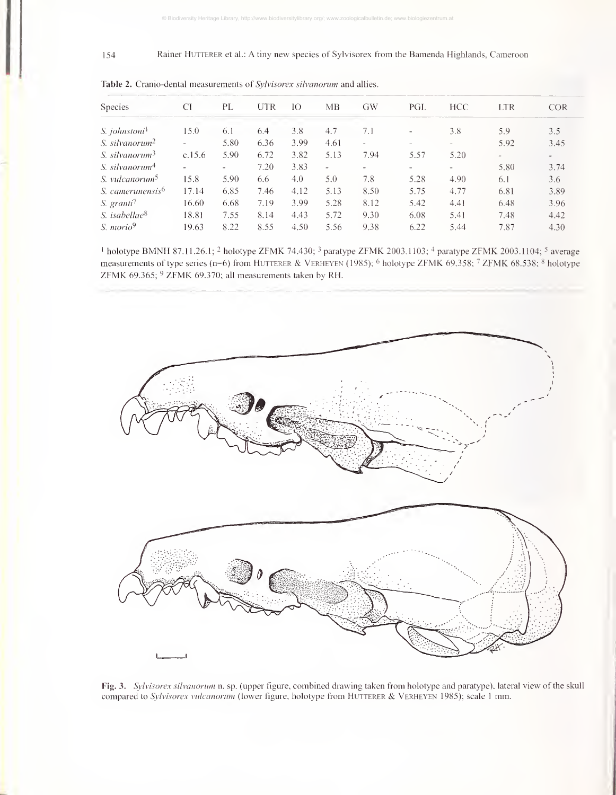#### 154 Rainer HUTTERER et al.: A tiny new species of Sylvisorex from the Bamenda Highlands, Cameroon

| <b>Species</b>               | CI     | PL   | UTR  | IO   | ΜВ                       | GW     | PGL                      | <b>HCC</b>        | <b>LTR</b> | <b>COR</b>               |
|------------------------------|--------|------|------|------|--------------------------|--------|--------------------------|-------------------|------------|--------------------------|
| S. johnstoni <sup>1</sup>    | 15.0   | 6.1  | 6.4  | 3.8  | 4.7                      | 7.1    | $\overline{\phantom{a}}$ | 3.8               | 5.9        | 3.5                      |
| S. silvanorum <sup>2</sup>   |        | 5.80 | 6.36 | 3.99 | 4.61                     | $\sim$ | $\overline{\phantom{a}}$ | $\qquad \qquad =$ | 5.92       | 3.45                     |
| S silvanorum <sup>3</sup>    | c.15.6 | 5.90 | 6.72 | 3.82 | 5.13                     | 7.94   | 5.57                     | 5.20              |            | $\overline{\phantom{a}}$ |
| S. silvanorum <sup>4</sup>   |        |      | 7.20 | 3.83 | $\overline{\phantom{a}}$ | $\sim$ | -                        | $\qquad \qquad =$ | 5.80       | 3.74                     |
| S. vulcanorum <sup>5</sup>   | 15.8   | 5.90 | 6.6  | 4.0  | 5.0                      | 7.8    | 5.28                     | 4.90              | 6.1        | 3.6                      |
| S. camerunensis <sup>6</sup> | 17.14  | 6.85 | 7.46 | 4.12 | 5.13                     | 8.50   | 5.75                     | 4.77              | 6.81       | 3.89                     |
| S. granti <sup>7</sup>       | 16.60  | 6.68 | 7.19 | 3.99 | 5.28                     | 8.12   | 5.42                     | 4.41              | 6.48       | 3.96                     |
| S. isabellae <sup>8</sup>    | 18.81  | 7.55 | 8.14 | 4.43 | 5.72                     | 9.30   | 6.08                     | 5.41              | 7.48       | 4.42                     |
| S. morio <sup>9</sup>        | 19.63  | 8.22 | 8.55 | 4.50 | 5.56                     | 9.38   | 6.22                     | 5.44              | 7.87       | 4.30                     |

Table 2. Cranio-dental measurements of Sylvisorex silvanorum and allies.

<sup>1</sup> holotype BMNH 87.11.26.1; <sup>2</sup> holotype ZFMK 74.430; <sup>3</sup> paratype ZFMK 2003.1103; <sup>4</sup> paratype ZFMK 2003.1104; <sup>5</sup> average measurements of type series (n=6) from HUTTERER & VERHEYEN (1985); <sup>6</sup> holotype ZFMK 69.358; <sup>7</sup> ZFMK 68.538; <sup>8</sup> holotype ZFMK 69.365;  $9$  ZFMK 69.370; all measurements taken by RH.



Fig. 3. Sylvisorex silvanorum n. sp. (upper figure, combined drawing taken from holotype and paratype). lateral view of the skull compared to Sylvisorex vulcanorum (lower figure, holotype from HUTTERER & VERHEYEN 1985); scale 1 mm.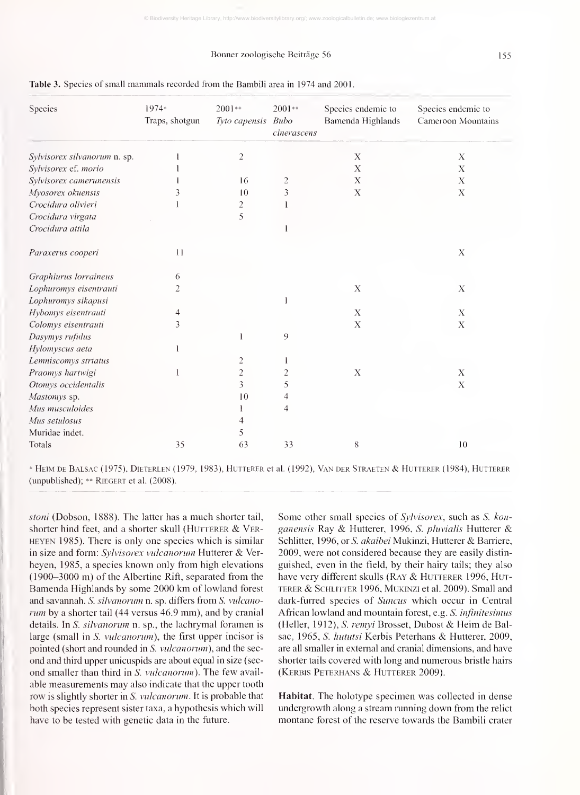#### Bonner zoologische Beiträge 56

| Species                      | 1974*<br>Traps, shotgun | $2001**$<br>Tyto capensis Bubo | 2001**<br>cinerascens | Speeies endemie to<br>Bamenda Highlands | Species endemie to<br>Cameroon Mountains |
|------------------------------|-------------------------|--------------------------------|-----------------------|-----------------------------------------|------------------------------------------|
| Sylvisorex silvanorum n. sp. |                         | $\overline{2}$                 |                       | X                                       | $\boldsymbol{X}$                         |
| Sylvisorex ef. morio         |                         |                                |                       | X                                       | Х                                        |
| Sylvisorex camerunensis      |                         | 16                             | $\overline{c}$        | $\mathbf X$                             | X                                        |
| Myosorex okuensis            |                         | 10                             | 3                     | $\mathbf X$                             | $\mathbf X$                              |
| Crocidura olivieri           |                         | 2                              |                       |                                         |                                          |
| Crocidura virgata            |                         | 5                              |                       |                                         |                                          |
| Crocidura attila             |                         |                                |                       |                                         |                                          |
| Paraxerus cooperi            | 11                      |                                |                       |                                         | $\mathbf X$                              |
| Graphiurus lorraineus        | 6                       |                                |                       |                                         |                                          |
| Lophuromys eisentrauti       | $\overline{c}$          |                                |                       | $\boldsymbol{\mathrm{X}}$               | $\mathbf X$                              |
| Lophuromys sikapusi          |                         |                                |                       |                                         |                                          |
| Hybomys eisentrauti          | $\overline{4}$          |                                |                       | $\mathbf X$                             | $\mathbf X$                              |
| Colomys eisentrauti          | 3                       |                                |                       | $\mathbf X$                             | $\mathbf X$                              |
| Dasymys rufulus              |                         |                                | 9                     |                                         |                                          |
| Hylomyscus aeta              |                         |                                |                       |                                         |                                          |
| Lemniscomys striatus         |                         |                                |                       |                                         |                                          |
| Praomys hartwigi             |                         | $\overline{c}$                 | $\overline{2}$        | $\mathbf X$                             | $\mathbf X$                              |
| Otoniys occidentalis         |                         | 3                              | 5                     |                                         | $\mathbf X$                              |
| Mastoniys sp.                |                         | 10                             | $\Delta$              |                                         |                                          |
| Mus musculoides              |                         |                                | 4                     |                                         |                                          |
| Mus setulosus                |                         |                                |                       |                                         |                                          |
| Muridae indet.               |                         | $\mathcal{F}$                  |                       |                                         |                                          |
| Totals                       | 35                      | 63                             | 33                    | 8                                       | $10\,$                                   |

#### Table 3. Species of small mammals recorded from the Bambili area in 1974 and 2001.

\* Heim de Balsac (1975), Dieterlen (1979, 1983), Hutterer et al. (1992), Van der Straeten & Hutterer (1984), Hutterer (unpublished); \*\* Riegert et al. (2008).

stoni (Dobson, 1888). The latter has <sup>a</sup> much shorter tail, shorter hind feet, and a shorter skull (HUTTERER  $&$  VER-HEYEN 1985). There is only one species which is similar in size and form: Sylvisorex vulcanorum Hutterer & Ver heyen, 1985, <sup>a</sup> species known only from high elevations  $(1900-3000 \text{ m})$  of the Albertine Rift, separated from the Bamenda Highlands by some 2000 km of lowland forest and savannah. S. silvanorum n. sp. differs from S. vulcanorum by a shorter tail (44 versus 46.9 mm), and by cranial details. In S. silvanorum n. sp., the lachrymal foramen is large (small in S. *vulcanorum*), the first upper incisor is pointed (short and rounded in S. vulcanorum), and the sec ond and third upper unicuspids are about equal in size (sec ond smaller than third in S. vulcanorum). The few avail able measurements may also indicate that the upper tooth row is slightly shorter in S. vulcanorum. It is probable that both species represent sister taxa, a hypothesis which will have to be tested with genetic data in the future.

Some other small species of *Sylvisorex*, such as *S. kon*ganensis Ray & Hutterer, 1996, S. pluvialis Hutterer & Schlitter, 1996, or S. akaibei Mukinzi, Hutterer & Barriere, 2009, were not considered because they are easily distin guished, even in the field, by their hairy tails; they also have very different skulls (RAY & HUTTERER 1996, HUTterer & ScHLiTTER 1996, Mukinzi et al. 2009). Small and dark-furred species of Suncus which occur in Central African lowland and mountain forest, e.g. S. infinitesimus (Heller, 1912), S. remyi Brosset, Dubost & Heim de Balsac, 1965, S. *hututsi* Kerbis Peterhans & Hutterer, 2009, are all smaller in external and cranial dimensions, and have shorter tails covered with long and numerous bristle hairs (Kerbis Peterhans & Hutterer 2009).

Habitat. The holotype specimen was collected in dense undergrowth along a stream running down from the relict montane forest of the reserve towards the Bambili crater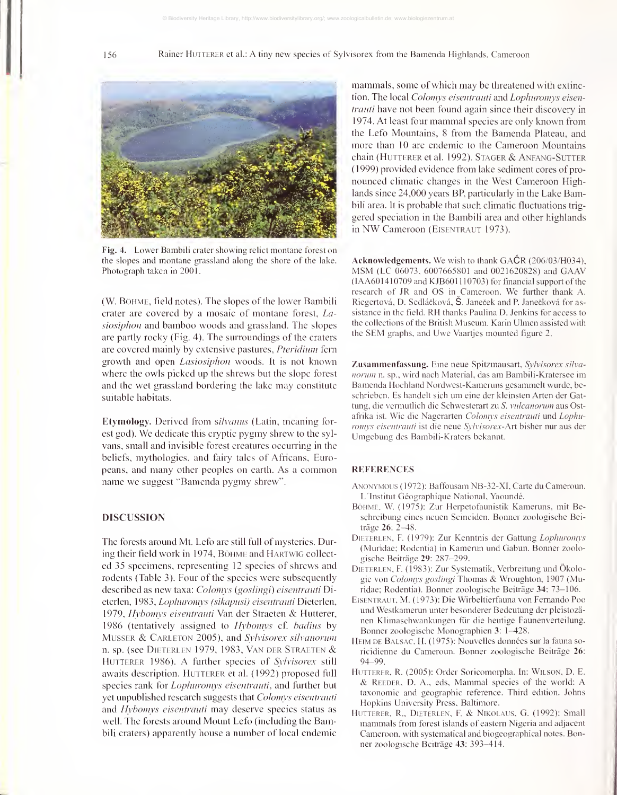

Fig. 4. Lower Bambili crater showing relict montane forest on the slopes and montane grassland along the shore of the lake. Photograph taken in 2001

(W. Böhme, field notes). The slopes of the lower Bambili crater are covered by a mosaic of montane forest, Lasiosiphon and bamboo woods and grassland. The slopes are partly rocky (Fig. 4). The surroundings of the craters are covered mainly by extensive pastures, Pteridium fern growth and open Lasiosiphou woods. It is not known where the owls picked up the shrews but the slope forest and the wet grassland bordering the lake may constitute suitable habitats.

Etymology. Derived from silvanus (Latin, meaning forest god). We dedicate this ciyptic pygmy shrew to the syl vans, small and invisible forest creatures occurring in the beliefs, mythologies, and fairy tales of Africans, Europeans, and many other peoples on earth. As a common name we suggest "Bamenda pygmy shrew".

#### DISCUSSION

The forests around Mt. Lefo are still full of mysteries. During their field work in 1974, BÖHME and HARTWIG collected 35 specimens, representing 12 species of shrews and rodents (Table 3). Four of the species were subsequently described as new taxa: Colomys (goslingi) eisentrauti Dietcrlen, 1983, Lopluironiys (sikapusi) eisentrauti Dieterlen, 1979, Hybomys eisentrauti Van der Straeten & Hutterer, 1986 (tentatively assigned to *Hybonnys* cf. *badius* by MUSSER & CARLETON 2005), and Sylvisorex silvanorum n. sp. (see Dieterlen 1979, 1983, Van der Straeten & HUTTERER 1986). A further species of Sylvisorex still awaits description. HUTTERER et al. (1992) proposed full species rank for *Lophuromys eisentrauti*, and further but yet unpublished research suggests that *Colomys eisentraini* and Hybomys eisentrauti may deserve species status as well. The forests around Mount Lefo (including the Bambili craters) apparently house a number of local endemic

mammals, some of which may be threatened with extinction. The local Colomys eisentrauti and Lophuromys eisentrauti have not been found again since their discovery in 1974. At least four mammal species are only known from the Lefo Mountains. 8 from the Bamenda Plateau, and inore than 10 are endemic to the Cameroon Mountains chain (Hutterer et al. 1992). Stager & Anfang-Sutter ( <sup>1</sup> 999) provided evidence from lake sediment cores of pro nounced climatic changes in the West Cameroon Highlands since 24,000 years BP, particularly in the Lake Bambili area. It is probable that such climatic fluctuations trig gered speciation in the Bambili area and other highlands in NW Cameroon (EISENTRAUT 1973).

Acknowledgements. We wish to thank GACR (206/03/H034), MSM (LC 06073, <sup>6007665801</sup> and 0021620828) and GAAV  $(IAA601410709$  and KJB601110703) for financial support of the research of JR and OS in Cameroon. We further thank A. Riegertová, D. Sedláčková, Š. Janeček and P. Janečková for assistance in the field. RH thanks Paulina D. Jenkins for access to the collections of the British Museum. Karin Ulmen assisted with the SEM graphs, and Uwe Vaartjes mounted figure 2.

Zusammenfassung. Eine neue Spitzmausart, Sylvisorex silvanorum n. sp., wird nach Material, das am Bambili-Kratersee im Bamenda Hochland Nordwest-Kameruns gesammelt wurde, beschrieben. Es handelt sich um eine der kleinsten Arten der Gattung, die vermutlich die Schwesterart zu S. vulcanorum aus Ostafrika ist. Wie die Nagerarten Colomys eisentrauti und Lophuromys eisentrauti ist die neue Sylvisorex-Art bisher nur aus der Umgebung des Bambili-Kraters bekannt.

#### REFERENCES

- Anonymous (1972): Baffousam NB-32-XI, Carte du Cameroun. L'Institut Géographique National, Yaoundé.
- BöHME, W. (1975): Zur Herpetofaunistik Kameruns, mit Beschreibung eines neuen Scinciden. Bonner zoologische Beiträge 26: 2-48.
- DIETERLEN, F. (1979): Zur Kenntnis der Gattung Lophuromys (Muridae; Rodentia) in Kamerun und Gabun. Bonner zoologische Beiträge 29: 287-299.
- Dieterlen, F. (1983): Zur Systematik, Verbreitung und Ökologie von Colomys goslingi Thomas & Wroughton, <sup>1907</sup> (Muridae; Rodentia). Bonner zoologische Beiträge 34: 73-106.
- Eisentraut, M. (1973): Die Wirbeltierfauna von Fernando Poo und Westkamerun unter besonderer Bedeutung der pleistozä nen Klimaschwankungen für die heutige Faunenverteilung. Bonner zoologische Monographien 3: 1—428.
- Heim de Balsac, H. (1975): Nouvelles données sur la fauna so ricidienne du Cameroun. Bonner zoologische Beiträge 26: 94-99.
- HUTTERER, R. (2005): Order Soricomorpha. In: WILSON, D. E. & Reeder, D. A., eds. Mammal species of the world: A taxonomic and geographic reference. Third edition. Johns Hopkins University Press. Baltimore.
- Hutterer, R., Dieterlen, F. & Nikolaus, G. (1992): Small mammals from forest islands of eastern Nigeria and adjacent Cameroon, with systematical and biogeographical notes. Bonner zoologische Beiträge 43: 393-414.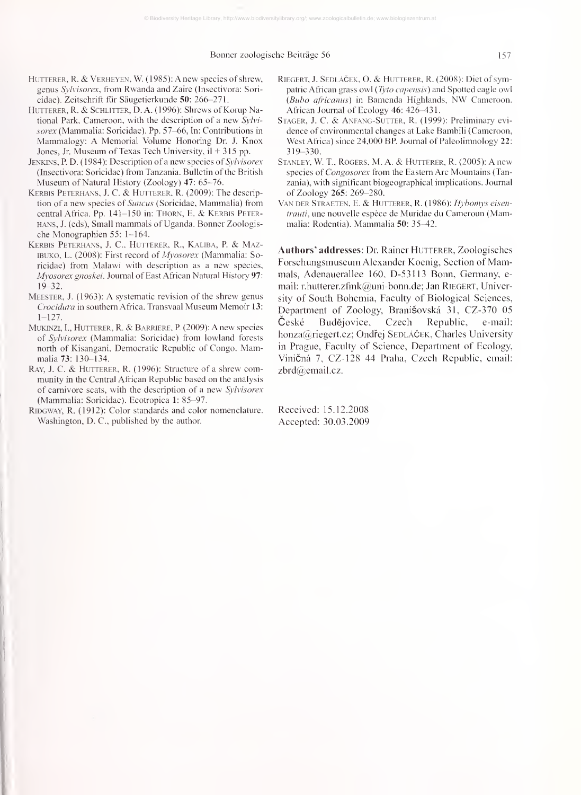#### Bonner zoologische Beiträge 56 157

- HUTTERER, R. & VERHEYEN, W. (1985): A new species of shrew, genus Sylvisorex, from Rwanda and Zaire (Insectivora: Soricidae). Zeitschrift fur Säugetierkunde 50: 266-271.
- HUTTERER, R. & SCHLITTER, D. A. (1996): Shrews of Korup National Park, Cameroon, with the description of a new  $S_V/v$ sorex (Mammalia: Soricidae). Pp. 57-66, In: Contributions in Mammalogy: A Memorial Volume Honoring Dr. J. Knox Jones, Jr. Museum of Texas Tech University, il + 315 pp.
- JENKINS, P. D. (1984): Description of a new species of *Sylvisorex* (Insectivora: Soricidae) from Tanzania. Bulletin of the British Museum of Natural History (Zoology) 47: 65-76.
- Kerbis Peterhans, J. C. & Hutterer, R. (2009): The description of a new species of Suncus (Soricidae, Mammalia) from central Africa. Pp. 141-150 in: THORN, E. & KERBIS PETERhans, J. (eds), Small mammals of Uganda. Bonner Zoologis che Monographien 55: 1-164.
- Kerbis Peterhans, J. C, Hutterer, R., Kaliba, P. & Maz-IBUKO, L. (2008): First record of Myosorex (Mammalia: Soricidae) from Malawi with description as <sup>a</sup> new species, Mvosorex gnoskei. Journal of East African Natural History 97: 19-32.
- Meester, J. (1963): A systematic revision of the shrew genus Crocidura in southern Africa. Transvaal Museum Memoir 13:  $1 - 127$ .
- $\text{MUKINZI}, \text{I., HUTTERER}, \text{R. & BARRIERE}, \text{P. (2009): A new species}$ of Syhisorex (Mammalia: Soricidae) from lowland forests north of Kisangani, Democratic Republic of Congo. Mammalia 73: 130-134.
- RAY, J. C. & HUTTERER, R. (1996): Structure of a shrew community in the Central African Republic based on the analysis of carnivore scats, with the description of a new Syhisorex (Mammalia: Soricidae). Ecotropica 1: 85-97.
- RiDGWAY, R. (1912): Color standards and color nomenclature. Washington, D. C, published by the author.
- RIEGERT, J. SEDLÁČEK, O. & HUTTERER, R. (2008): Diet of sympatric African grass owl (Tyto capensis) and Spotted eagle owl (Bubo africanus) in Bamenda Highlands, NW Cameroon. African Journal of Ecology 46: 426-431.
- Stager, J. C. & Anfang-Sutter, R. (1999): Preliminary evi dence of environmental changes at Lake Bambili (Cameroon, West Africa) since 24,000 BP. Journal of Paleolimnology 22: 319-330.
- Stanley, W. T., Rogers, M. A. & Hutterer, R. (2005): A new species of *Congosorex* from the Eastern Arc Mountains (Tanzania), with significant biogeographical implications. Journal of Zoology 265: 269-280.
- Van der Straeten, E. & Hutterer, R. (1986): Hybomys eisentrauti, une nouvelle espèce de Muridae du Cameroun (Mammalia: Rodentia). Mammalia 50: 35^2.

Authors' addresses: Dr. Rainer HUTTERER, Zoologisches Forschungsmuseuin Alexander Koenig, Section of Mammals, Adenauerallee 160, D-53113 Bonn, Germany, email: r.hutterer.zfmk@uni-bonn.de; Jan RIEGERT, University of South Bohemia, Faculty of Biological Sciences, Department of Zoology, Branišovská 31, CZ-370 05 Budějovice, Czech Republic, e-mail: honza@riegert.cz; Ondřej SEDLÁČEK, Charles University in Prague, Faculty of Science, Department of Ecology, Vinicná 7, CZ-128 44 Praha, Czech Republic, email: zbrd@email.cz.

Received: 15.12.2008 Accepted: 30.03.2009